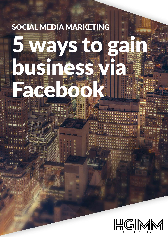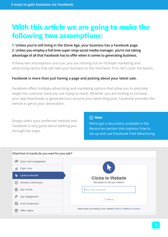# With this article we are going to make the following two assumptions:

**1. Unless you're still living in the Stone Age, your business has a Facebook page. 2. Unless you employ a full time super ninja social media manager, you're not taking advantage of all that Facebook has to offer when it comes to generating business.**

If these two assumptions are true, you are missing out on multiple marketing and advertising tactics that will take your business to the next level. First, let's cover the basics.

#### **Facebook is more than just having a page and posting about your latest sale.**

Facebook offers multiple advertising and marketing options that allow you to precisely target the customer base you are trying to reach. Whether you are looking to increase your app downloads or generate buzz around your latest blog post, Facebook provides the vehicle to get to your destination.

Simply select your preferred method and Facebook is very good about walking you through the steps.

#### (i) Note

We've got a document available in the Resources section that explains how to set up and use Facebook Paid Advertising.

| Page Post Engagement            |                                                                           |
|---------------------------------|---------------------------------------------------------------------------|
| Page Likes                      |                                                                           |
| <b>Clicks to Website</b>        | <b>Clicks to Website</b>                                                  |
| <b>Website Conversions</b><br>曲 | Get people to visit your website.                                         |
| App Installs                    | Enter URL to promote                                                      |
| App Engagement                  | Continue                                                                  |
| 函<br><b>Event Responses</b>     |                                                                           |
| Offer Claims                    | Want to track conversions on your website? Switch to Website Conversions. |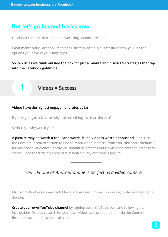### But let's go beyond basics now

Facebook is more than just the advertising options presented.

What makes your Facebook marketing strategy actually successful is how you use the options you have at your fingertips.

**So join us as we think outside the box for just a minute and discuss 5 strategies that tap into the Facebook goldmine.**

### **1 Videos = Success**

#### **Videos have the highest engagement rates by far.**

If you're going to advertise, why use something less than the best?

Seriously… why would you?

**A picture may be worth a thousand words, but a video is worth a thousand likes.** Use the Content Research section to find relevant video material from YouTube and schedule it for your social audience. Ideally you should be creating your own video content. It's easy to create videos and the equipment is in nearly every everyone's pocket!

### *Your iPhone or Android phone is perfect as a video camera.*

Microsoft Windows comes with Movie Maker which makes producing professional video a doddle.

**Create your own YouTube channel** by signing up at YouTube.com and following the instructions. You can search for your own videos and schedule them via the Content Research section of the control panel.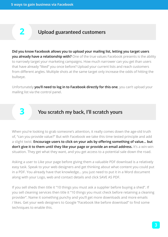### **2 Upload guaranteed customers**

**Did you know Facebook allows you to upload your mailing list, letting you target users you already have a relationship with?** One of the true values Facebook presents is the ability to narrowly target your marketing campaigns. How much narrower can you get than users that have already "liked" you once before? Upload your current lists and reach customers from different angles. Multiple shots at the same target only increase the odds of hitting the bullseye.

Unfortunately **you'll need to log in to Facebook directly for this one**, you can't upload your mailing list via the control panel.

## **3 You scratch my back, I'll scratch yours**

When you're looking to grab someone's attention, it really comes down the age-old truth of, "can you provide value?" But with Facebook we take this time tested principle and add a slight twist. **Encourage users to click on your ads by offering something of value… but don't give it to them until they like your page or provide an email address.** It's a win-win situation. They get what they want, and you get access to a potential sale down the road.

Asking a user to Like your page before giving them a valuable PDF download is a relatively easy task. Speak to your web designers and get thinking about what content you could put in a PDF. You already have that knowledge… you just need to put it in a Word document along with your Logo, web and contact details and click SAVE AS PDF.

If you sell sheds then title it "10 things you must ask a supplier before buying a shed". If you sell cleaning services then title it "10 things you must check before retaining a cleaning provider". Name it something punchy and you'll get more downloads and more emails / likes. Get your web designers to Google "Facebook like before download" to find some techniques to enable this.